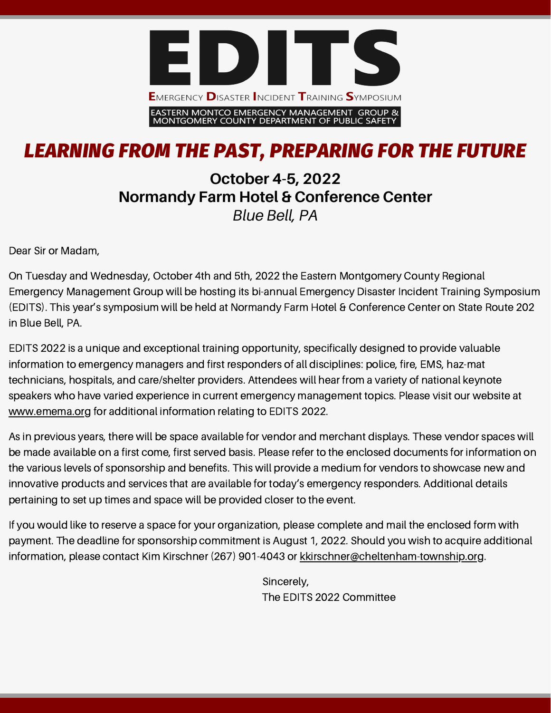

## *LEARNING FROM THE PAST, PREPARING FOR THE FUTURE*

## **October 4-5, 2022 Normandy Farm Hotel & Conference Center** *Blue Bell, PA*

Dear Sir or Madam,

On Tuesday and Wednesday, October 4th and 5th, 2022 the Eastern Montgomery County Regional Emergency Management Group will be hosting its bi-annual Emergency Disaster Incident Training Symposium (EDITS). This year's symposium will be held at Normandy Farm Hotel & Conference Center on State Route 202 in Blue Bell, PA.

EDITS 2022 is a unique and exceptional training opportunity, specifically designed to provide valuable information to emergency managers and first responders of all disciplines: police, fire, EMS, haz-mat technicians, hospitals, and care/shelter providers. Attendees will hear from a variety of national keynote speakers who have varied experience in current emergency management topics. Please visit our website at www.emema.org for additional information relating to EDITS 2022.

As in previous years, there will be space available for vendor and merchant displays. These vendor spaces will be made available on a first come, first served basis. Please refer to the enclosed documents for information on the various levels of sponsorship and benefits. This will provide a medium for vendors to showcase new and innovative products and services that are available for today's emergency responders. Additional details pertaining to set up times and space will be provided closer to the event.

If you would like to reserve a space for your organization, please complete and mail the enclosed form with payment. The deadline for sponsorship commitment is August 1, 2022. Should you wish to acquire additional information, please contact Kim Kirschner (267) 901-4043 or kkirschner@cheltenham-township.org.

> Sincerely, The EDITS 2022 Committee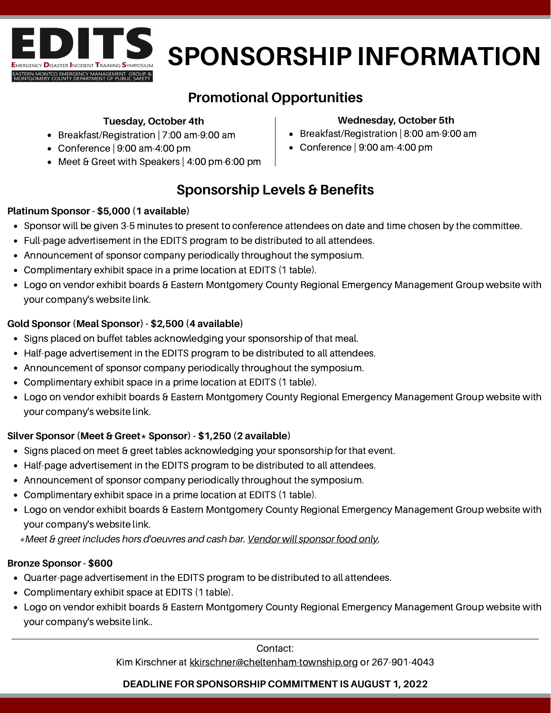

# **SPONSORSHIP INFORMATION**

## **Promotional Opportunities**

#### **Tuesday, October 4th**

- Breakfast/Registration | 7:00 am-9:00 am
- Conference | 9:00 am-4:00 pm
- Meet & Greet with Speakers | 4:00 pm-6:00 pm

## **Sponsorship Levels & Benefits**

#### **Platinum Sponsor - \$5,000 (1 available)**

- Sponsor will be given 3-5 minutes to present to conference attendees on date and time chosen by the committee.
- Full-page advertisement in the EDITS program to be distributed to all attendees.
- Announcement of sponsor company periodically throughout the symposium.
- Complimentary exhibit space in a prime location at EDITS (1 table).
- Logo on vendor exhibit boards & Eastern Montgomery County Regional Emergency Management Group website with your company's website link.

#### **Gold Sponsor (Meal Sponsor) - \$2,500 (4 available)**

- Signs placed on buffet tables acknowledging your sponsorship of that meal.
- Half-page advertisement in the EDITS program to be distributed to all attendees.
- Announcement of sponsor company periodically throughout the symposium.
- Complimentary exhibit space in a prime location at EDITS (1 table).
- Logo on vendor exhibit boards & Eastern Montgomery County Regional Emergency Management Group website with your company's website link.

#### **Silver Sponsor (Meet & Greet\* Sponsor) - \$1,250 (2 available)**

- Signs placed on meet & greet tables acknowledging your sponsorship for that event.
- Half-page advertisement in the EDITS program to be distributed to all attendees.
- Announcement of sponsor company periodically throughout the symposium.
- Complimentary exhibit space in a prime location at EDITS (1 table).
- Logo on vendor exhibit boards & Eastern Montgomery County Regional Emergency Management Group website with your company's website link.

*\*Meet & greet includes hors d'oeuvres and cash bar. Vendor will sponsor food only.*

#### **Bronze Sponsor - \$600**

- Quarter-page advertisement in the EDITS program to be distributed to all attendees.
- Complimentary exhibit space at EDITS (1 table).
- Logo on vendor exhibit boards & Eastern Montgomery County Regional Emergency Management Group website with your company's website link..

#### Contact:

Kim Kirschner at kkirschner@cheltenham-township.org or 267-901-4043

#### **DEADLINE FOR SPONSORSHIP COMMITMENT IS AUGUST 1, 2022**

#### **Wednesday, October 5th**

- Breakfast/Registration | 8:00 am-9:00 am
- Conference | 9:00 am-4:00 pm